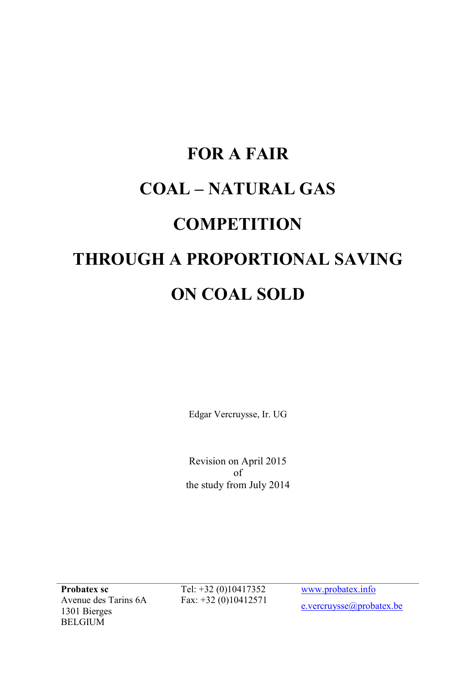# FOR A FAIR COAL – NATURAL GAS **COMPETITION** THROUGH A PROPORTIONAL SAVING ON COAL SOLD

Edgar Vercruysse, Ir. UG

Revision on April 2015 of the study from July 2014

Probatex sc Avenue des Tarins 6A 1301 Bierges BELGIUM

Tel: +32 (0)10417352 Fax: +32 (0)10412571 www.probatex.info e.vercruysse@probatex.be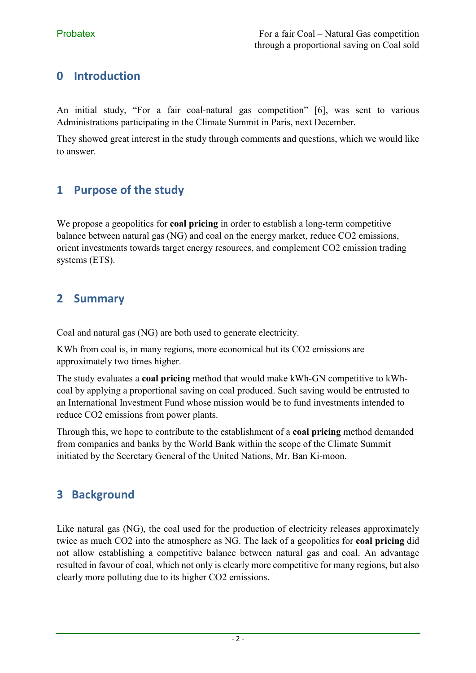### 0 Introduction

An initial study, "For a fair coal-natural gas competition" [6], was sent to various Administrations participating in the Climate Summit in Paris, next December.

They showed great interest in the study through comments and questions, which we would like to answer.

### 1 Purpose of the study

We propose a geopolitics for **coal pricing** in order to establish a long-term competitive balance between natural gas (NG) and coal on the energy market, reduce CO2 emissions, orient investments towards target energy resources, and complement CO2 emission trading systems (ETS).

#### 2 Summary

Coal and natural gas (NG) are both used to generate electricity.

KWh from coal is, in many regions, more economical but its CO2 emissions are approximately two times higher.

The study evaluates a coal pricing method that would make kWh-GN competitive to kWhcoal by applying a proportional saving on coal produced. Such saving would be entrusted to an International Investment Fund whose mission would be to fund investments intended to reduce CO2 emissions from power plants.

Through this, we hope to contribute to the establishment of a coal pricing method demanded from companies and banks by the World Bank within the scope of the Climate Summit initiated by the Secretary General of the United Nations, Mr. Ban Ki-moon.

# 3 Background

Like natural gas (NG), the coal used for the production of electricity releases approximately twice as much CO2 into the atmosphere as NG. The lack of a geopolitics for coal pricing did not allow establishing a competitive balance between natural gas and coal. An advantage resulted in favour of coal, which not only is clearly more competitive for many regions, but also clearly more polluting due to its higher CO2 emissions.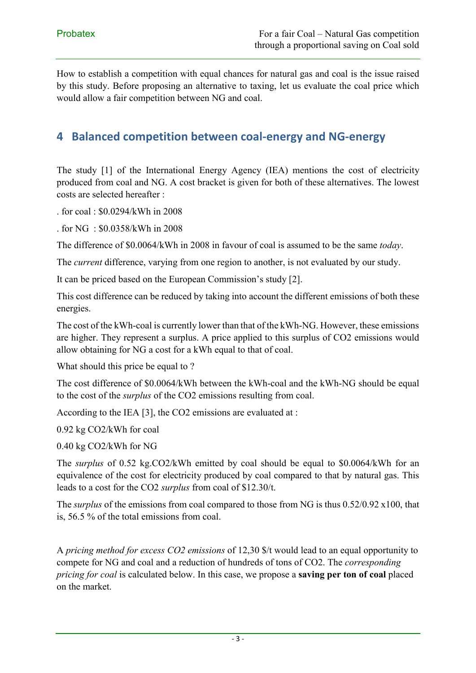How to establish a competition with equal chances for natural gas and coal is the issue raised by this study. Before proposing an alternative to taxing, let us evaluate the coal price which would allow a fair competition between NG and coal.

#### 4 Balanced competition between coal-energy and NG-energy

The study [1] of the International Energy Agency (IEA) mentions the cost of electricity produced from coal and NG. A cost bracket is given for both of these alternatives. The lowest costs are selected hereafter :

. for coal : \$0.0294/kWh in 2008

. for NG : \$0.0358/kWh in 2008

The difference of \$0.0064/kWh in 2008 in favour of coal is assumed to be the same *today*.

The *current* difference, varying from one region to another, is not evaluated by our study.

It can be priced based on the European Commission's study [2].

This cost difference can be reduced by taking into account the different emissions of both these energies.

The cost of the kWh-coal is currently lower than that of the kWh-NG. However, these emissions are higher. They represent a surplus. A price applied to this surplus of CO2 emissions would allow obtaining for NG a cost for a kWh equal to that of coal.

What should this price be equal to ?

The cost difference of \$0.0064/kWh between the kWh-coal and the kWh-NG should be equal to the cost of the *surplus* of the CO2 emissions resulting from coal.

According to the IEA [3], the CO2 emissions are evaluated at :

0.92 kg CO2/kWh for coal

0.40 kg CO2/kWh for NG

The *surplus* of 0.52 kg.CO2/kWh emitted by coal should be equal to \$0.0064/kWh for an equivalence of the cost for electricity produced by coal compared to that by natural gas. This leads to a cost for the CO2 *surplus* from coal of \$12.30/t.

The *surplus* of the emissions from coal compared to those from NG is thus 0.52/0.92 x100, that is, 56.5 % of the total emissions from coal.

A *pricing method for excess CO2 emissions* of 12,30 \$/t would lead to an equal opportunity to compete for NG and coal and a reduction of hundreds of tons of CO2. The *corresponding pricing for coal* is calculated below. In this case, we propose a **saving per ton of coal** placed on the market.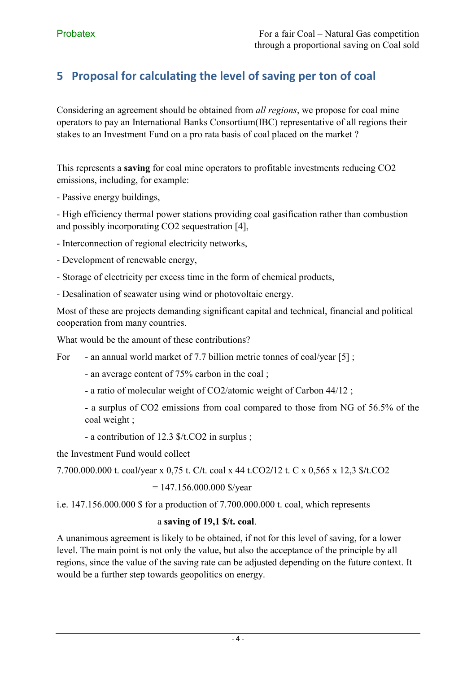# 5 Proposal for calculating the level of saving per ton of coal

Considering an agreement should be obtained from *all regions*, we propose for coal mine operators to pay an International Banks Consortium(IBC) representative of all regions their stakes to an Investment Fund on a pro rata basis of coal placed on the market ?

This represents a saving for coal mine operators to profitable investments reducing CO2 emissions, including, for example:

- Passive energy buildings,

- High efficiency thermal power stations providing coal gasification rather than combustion and possibly incorporating CO2 sequestration [4],

- Interconnection of regional electricity networks,
- Development of renewable energy,
- Storage of electricity per excess time in the form of chemical products,
- Desalination of seawater using wind or photovoltaic energy.

Most of these are projects demanding significant capital and technical, financial and political cooperation from many countries.

What would be the amount of these contributions?

For - an annual world market of 7.7 billion metric tonnes of coal/year [5];

- an average content of 75% carbon in the coal ;

- a ratio of molecular weight of CO2/atomic weight of Carbon 44/12 ;

- a surplus of CO2 emissions from coal compared to those from NG of 56.5% of the coal weight ;

- a contribution of 12.3 \$/t.CO2 in surplus ;

the Investment Fund would collect

7.700.000.000 t. coal/year x 0,75 t. C/t. coal x 44 t.CO2/12 t. C x 0,565 x 12,3 \$/t.CO2

 $= 147.156.000.000$  \$/year

i.e. 147.156.000.000 \$ for a production of 7.700.000.000 t. coal, which represents

#### a saving of 19,1 \$/t. coal.

A unanimous agreement is likely to be obtained, if not for this level of saving, for a lower level. The main point is not only the value, but also the acceptance of the principle by all regions, since the value of the saving rate can be adjusted depending on the future context. It would be a further step towards geopolitics on energy.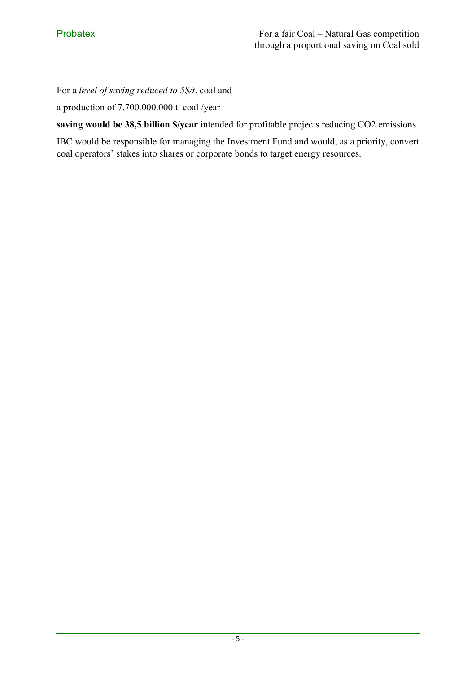For a *level of saving reduced to 5\$/t*. coal and

a production of 7.700.000.000 t. coal /year

saving would be 38,5 billion \$/year intended for profitable projects reducing CO2 emissions.

IBC would be responsible for managing the Investment Fund and would, as a priority, convert coal operators' stakes into shares or corporate bonds to target energy resources.